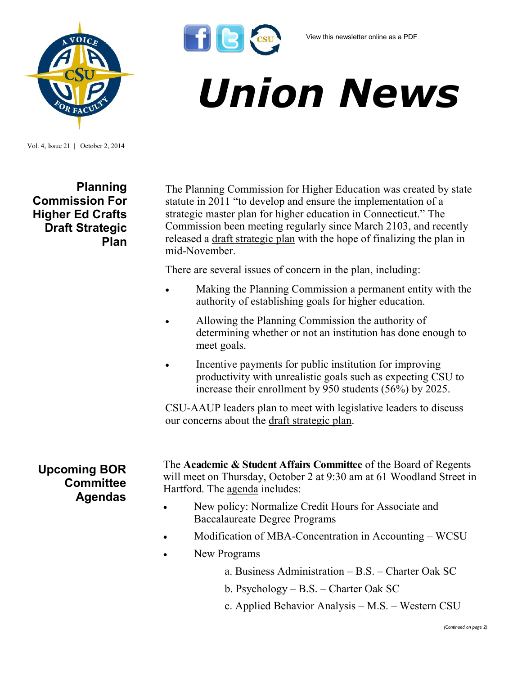



Vol. 4, Issue 21 | October 2, 2014

**Planning Commission For Higher Ed Crafts Draft Strategic Plan**

The Planning Commission for Higher Education was created by state statute in 2011 "to develop and ensure the implementation of a strategic master plan for higher education in Connecticut." The Commission been meeting regularly since March 2103, and recently released a [draft strategic plan](http://www.cga.ct.gov/hed/pched/Docs/Strategic%20Master%20Plan%20for%20HE%20090914%20V%20%203.pdf) with the hope of finalizing the plan in mid-November.

There are several issues of concern in the plan, including:

- Making the Planning Commission a permanent entity with the authority of establishing goals for higher education.
- Allowing the Planning Commission the authority of determining whether or not an institution has done enough to meet goals.
- Incentive payments for public institution for improving productivity with unrealistic goals such as expecting CSU to increase their enrollment by 950 students (56%) by 2025.

CSU-AAUP leaders plan to meet with legislative leaders to discuss our concerns about the [draft strategic plan.](http://www.cga.ct.gov/hed/pched/Docs/Strategic%20Master%20Plan%20for%20HE%20090914%20V%20%203.pdf)

**Upcoming BOR Committee Agendas**

The **Academic & Student Affairs Committee** of the Board of Regents will meet on Thursday, October 2 at 9:30 am at 61 Woodland Street in Hartford. The [agenda](http://www.ct.edu/images/uploads/ASA-Agenda-10-02-2014.pdf?80555) includes:

- New policy: Normalize Credit Hours for Associate and Baccalaureate Degree Programs
- Modification of MBA-Concentration in Accounting WCSU
- New Programs
	- a. Business Administration B.S. Charter Oak SC
	- b. Psychology B.S. Charter Oak SC
	- c. Applied Behavior Analysis M.S. Western CSU